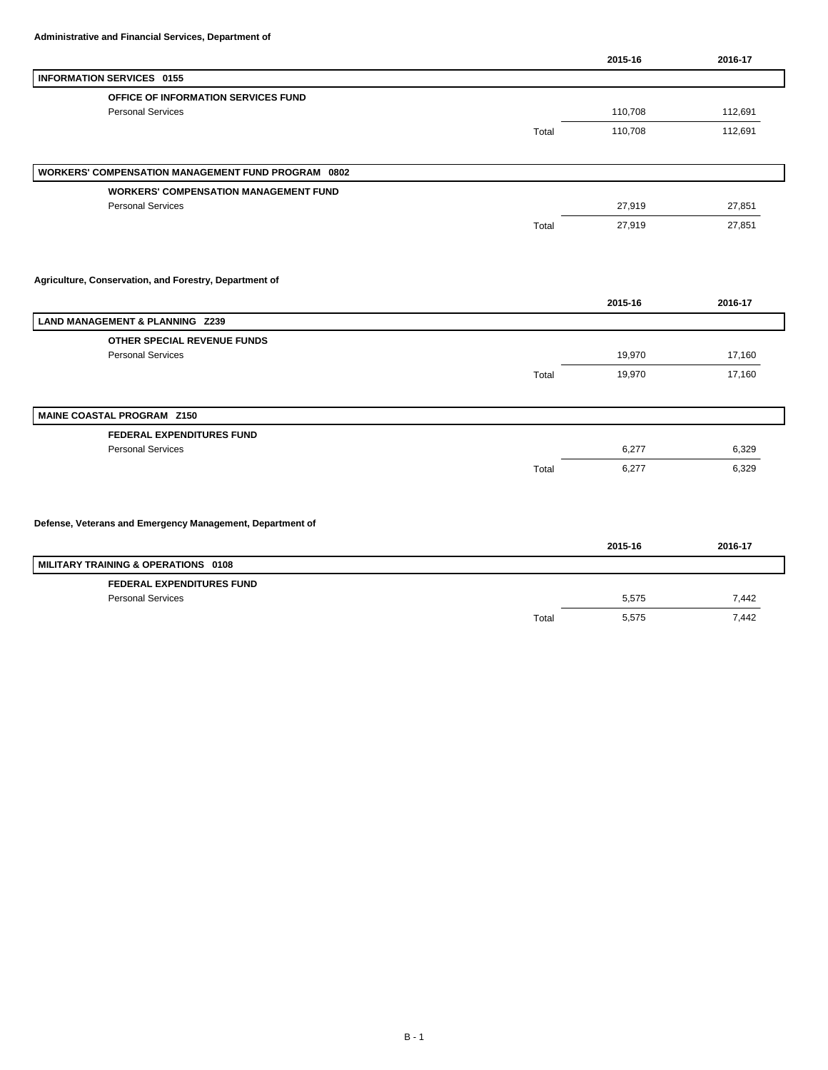|                                                           |       | 2015-16 | 2016-17 |
|-----------------------------------------------------------|-------|---------|---------|
| <b>INFORMATION SERVICES 0155</b>                          |       |         |         |
| OFFICE OF INFORMATION SERVICES FUND                       |       |         |         |
| <b>Personal Services</b>                                  |       | 110,708 | 112,691 |
|                                                           | Total | 110,708 | 112,691 |
|                                                           |       |         |         |
| <b>WORKERS' COMPENSATION MANAGEMENT FUND PROGRAM 0802</b> |       |         |         |
| <b>WORKERS' COMPENSATION MANAGEMENT FUND</b>              |       |         |         |
| <b>Personal Services</b>                                  |       | 27,919  | 27,851  |
|                                                           | Total | 27,919  | 27,851  |
|                                                           |       |         |         |
| Agriculture, Conservation, and Forestry, Department of    |       |         |         |
|                                                           |       | 2015-16 | 2016-17 |
| <b>LAND MANAGEMENT &amp; PLANNING Z239</b>                |       |         |         |
| OTHER SPECIAL REVENUE FUNDS                               |       |         |         |
| <b>Personal Services</b>                                  |       | 19,970  | 17,160  |
|                                                           | Total | 19,970  | 17,160  |
|                                                           |       |         |         |
| MAINE COASTAL PROGRAM Z150                                |       |         |         |
| <b>FEDERAL EXPENDITURES FUND</b>                          |       |         |         |
| <b>Personal Services</b>                                  |       | 6,277   | 6,329   |
|                                                           | Total | 6,277   | 6,329   |
|                                                           |       |         |         |
| Defense, Veterans and Emergency Management, Department of |       |         |         |
|                                                           |       | 2015-16 | 2016-17 |
| MILITARY TRAINING & OPERATIONS 0108                       |       |         |         |
| <b>FEDERAL EXPENDITURES FUND</b>                          |       |         |         |
| <b>Personal Services</b>                                  |       | 5,575   | 7,442   |

Total 5,575 7,442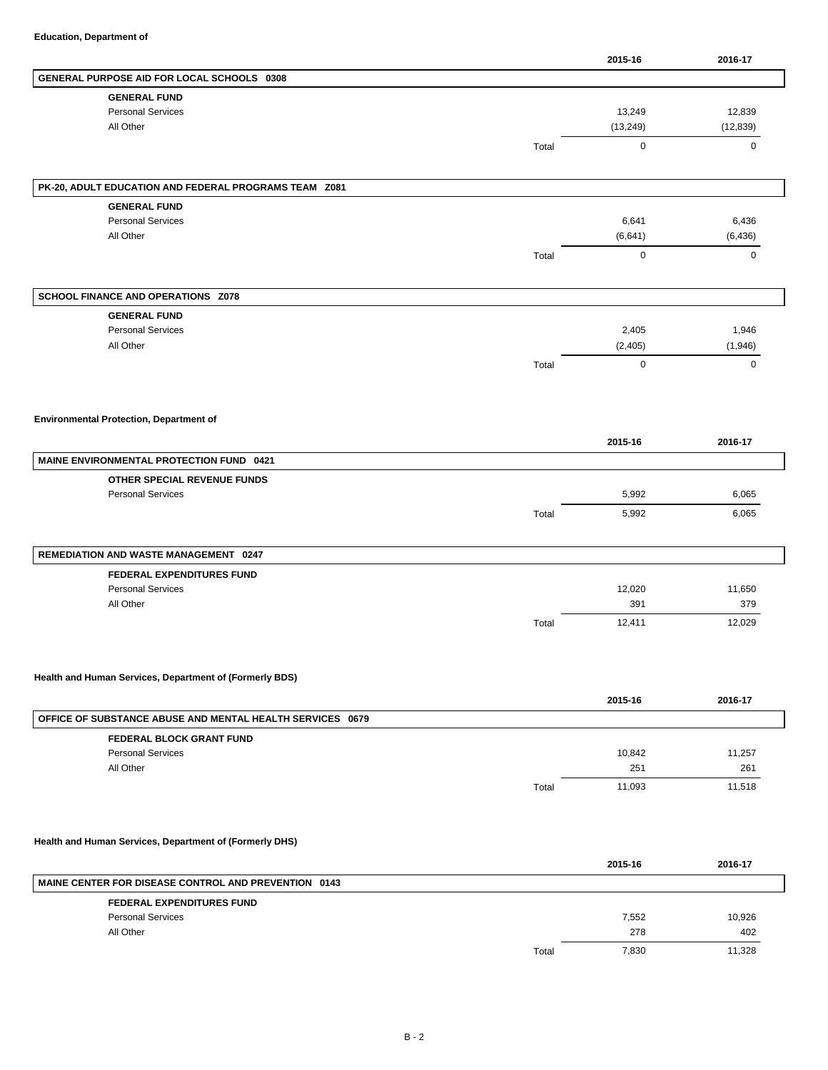|                                                           |       | 2015-16       | 2016-17                 |
|-----------------------------------------------------------|-------|---------------|-------------------------|
| GENERAL PURPOSE AID FOR LOCAL SCHOOLS 0308                |       |               |                         |
| <b>GENERAL FUND</b>                                       |       |               |                         |
| <b>Personal Services</b>                                  |       | 13,249        | 12,839                  |
| All Other                                                 |       | (13, 249)     | (12, 839)               |
|                                                           | Total | $\mathbf 0$   | 0                       |
| PK-20, ADULT EDUCATION AND FEDERAL PROGRAMS TEAM Z081     |       |               |                         |
| <b>GENERAL FUND</b>                                       |       |               |                         |
| <b>Personal Services</b>                                  |       | 6,641         | 6,436                   |
| All Other                                                 |       | (6,641)       | (6, 436)                |
|                                                           | Total | $\mathbf 0$   | $\mathsf{O}$            |
|                                                           |       |               |                         |
| SCHOOL FINANCE AND OPERATIONS Z078                        |       |               |                         |
| <b>GENERAL FUND</b>                                       |       |               |                         |
| <b>Personal Services</b>                                  |       | 2,405         | 1,946                   |
| All Other                                                 |       | (2, 405)      | (1,946)                 |
|                                                           | Total | $\mathbf 0$   | $\mathbf 0$             |
|                                                           |       |               |                         |
|                                                           |       |               |                         |
| <b>Environmental Protection, Department of</b>            |       |               |                         |
|                                                           |       | 2015-16       | 2016-17                 |
| <b>MAINE ENVIRONMENTAL PROTECTION FUND 0421</b>           |       |               |                         |
| OTHER SPECIAL REVENUE FUNDS                               |       |               |                         |
| <b>Personal Services</b>                                  |       | 5,992         | 6,065                   |
|                                                           | Total | 5,992         | 6,065                   |
|                                                           |       |               |                         |
| REMEDIATION AND WASTE MANAGEMENT 0247                     |       |               |                         |
| <b>FEDERAL EXPENDITURES FUND</b>                          |       |               |                         |
| <b>Personal Services</b>                                  |       | 12,020        |                         |
| All Other                                                 |       | 391           |                         |
|                                                           | Total | 12,411        | 11,650<br>379<br>12,029 |
|                                                           |       |               |                         |
| Health and Human Services, Department of (Formerly BDS)   |       |               |                         |
|                                                           |       | 2015-16       | 2016-17                 |
| OFFICE OF SUBSTANCE ABUSE AND MENTAL HEALTH SERVICES 0679 |       |               |                         |
| FEDERAL BLOCK GRANT FUND                                  |       |               |                         |
| <b>Personal Services</b>                                  |       | 10,842        |                         |
| All Other                                                 |       | 251<br>11,093 | 11,257<br>261<br>11,518 |

## **Health and Human Services, Department of (Formerly DHS)**

|                                                             |       | 2015-16 | 2016-17 |
|-------------------------------------------------------------|-------|---------|---------|
| <b>MAINE CENTER FOR DISEASE CONTROL AND PREVENTION 0143</b> |       |         |         |
| <b>FEDERAL EXPENDITURES FUND</b>                            |       |         |         |
| <b>Personal Services</b>                                    |       | 7,552   | 10,926  |
| All Other                                                   |       | 278     | 402     |
|                                                             | Total | 7.830   | 11.328  |